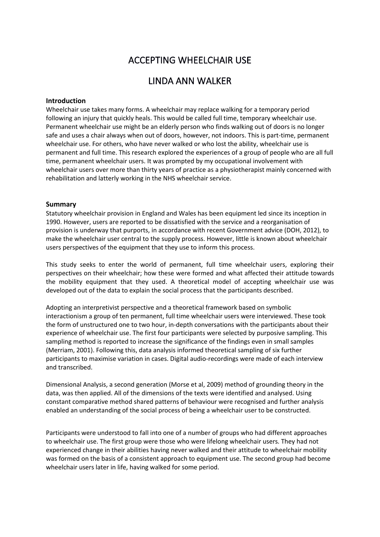# ACCEPTING WHEELCHAIR USE

# LINDA ANN WALKER

## **Introduction**

Wheelchair use takes many forms. A wheelchair may replace walking for a temporary period following an injury that quickly heals. This would be called full time, temporary wheelchair use. Permanent wheelchair use might be an elderly person who finds walking out of doors is no longer safe and uses a chair always when out of doors, however, not indoors. This is part-time, permanent wheelchair use. For others, who have never walked or who lost the ability, wheelchair use is permanent and full time. This research explored the experiences of a group of people who are all full time, permanent wheelchair users. It was prompted by my occupational involvement with wheelchair users over more than thirty years of practice as a physiotherapist mainly concerned with rehabilitation and latterly working in the NHS wheelchair service.

#### **Summary**

Statutory wheelchair provision in England and Wales has been equipment led since its inception in 1990. However, users are reported to be dissatisfied with the service and a reorganisation of provision is underway that purports, in accordance with recent Government advice (DOH, 2012), to make the wheelchair user central to the supply process. However, little is known about wheelchair users perspectives of the equipment that they use to inform this process.

This study seeks to enter the world of permanent, full time wheelchair users, exploring their perspectives on their wheelchair; how these were formed and what affected their attitude towards the mobility equipment that they used. A theoretical model of accepting wheelchair use was developed out of the data to explain the social process that the participants described.

Adopting an interpretivist perspective and a theoretical framework based on symbolic interactionism a group of ten permanent, full time wheelchair users were interviewed. These took the form of unstructured one to two hour, in-depth conversations with the participants about their experience of wheelchair use. The first four participants were selected by purposive sampling. This sampling method is reported to increase the significance of the findings even in small samples (Merriam, 2001). Following this, data analysis informed theoretical sampling of six further participants to maximise variation in cases. Digital audio-recordings were made of each interview and transcribed.

Dimensional Analysis, a second generation (Morse et al, 2009) method of grounding theory in the data, was then applied. All of the dimensions of the texts were identified and analysed. Using constant comparative method shared patterns of behaviour were recognised and further analysis enabled an understanding of the social process of being a wheelchair user to be constructed.

Participants were understood to fall into one of a number of groups who had different approaches to wheelchair use. The first group were those who were lifelong wheelchair users. They had not experienced change in their abilities having never walked and their attitude to wheelchair mobility was formed on the basis of a consistent approach to equipment use. The second group had become wheelchair users later in life, having walked for some period.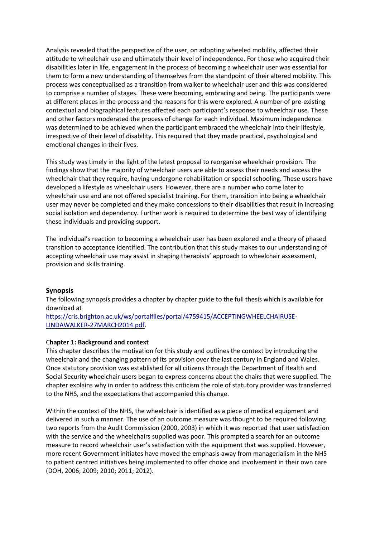Analysis revealed that the perspective of the user, on adopting wheeled mobility, affected their attitude to wheelchair use and ultimately their level of independence. For those who acquired their disabilities later in life, engagement in the process of becoming a wheelchair user was essential for them to form a new understanding of themselves from the standpoint of their altered mobility. This process was conceptualised as a transition from walker to wheelchair user and this was considered to comprise a number of stages. These were becoming, embracing and being. The participants were at different places in the process and the reasons for this were explored. A number of pre-existing contextual and biographical features affected each participant's response to wheelchair use. These and other factors moderated the process of change for each individual. Maximum independence was determined to be achieved when the participant embraced the wheelchair into their lifestyle, irrespective of their level of disability. This required that they made practical, psychological and emotional changes in their lives.

This study was timely in the light of the latest proposal to reorganise wheelchair provision. The findings show that the majority of wheelchair users are able to assess their needs and access the wheelchair that they require, having undergone rehabilitation or special schooling. These users have developed a lifestyle as wheelchair users. However, there are a number who come later to wheelchair use and are not offered specialist training. For them, transition into being a wheelchair user may never be completed and they make concessions to their disabilities that result in increasing social isolation and dependency. Further work is required to determine the best way of identifying these individuals and providing support.

The individual's reaction to becoming a wheelchair user has been explored and a theory of phased transition to acceptance identified. The contribution that this study makes to our understanding of accepting wheelchair use may assist in shaping therapists' approach to wheelchair assessment, provision and skills training.

## **Synopsis**

The following synopsis provides a chapter by chapter guide to the full thesis which is available for download at

[https://cris.brighton.ac.uk/ws/portalfiles/portal/4759415/ACCEPTINGWHEELCHAIRUSE-](https://cris.brighton.ac.uk/ws/portalfiles/portal/4759415/ACCEPTINGWHEELCHAIRUSE-LINDAWALKER-27MARCH2014.pdf)[LINDAWALKER-27MARCH2014.pdf.](https://cris.brighton.ac.uk/ws/portalfiles/portal/4759415/ACCEPTINGWHEELCHAIRUSE-LINDAWALKER-27MARCH2014.pdf)

## C**hapter 1: Background and context**

This chapter describes the motivation for this study and outlines the context by introducing the wheelchair and the changing pattern of its provision over the last century in England and Wales. Once statutory provision was established for all citizens through the Department of Health and Social Security wheelchair users began to express concerns about the chairs that were supplied. The chapter explains why in order to address this criticism the role of statutory provider was transferred to the NHS, and the expectations that accompanied this change.

Within the context of the NHS, the wheelchair is identified as a piece of medical equipment and delivered in such a manner. The use of an outcome measure was thought to be required following two reports from the Audit Commission (2000, 2003) in which it was reported that user satisfaction with the service and the wheelchairs supplied was poor. This prompted a search for an outcome measure to record wheelchair user's satisfaction with the equipment that was supplied. However, more recent Government initiates have moved the emphasis away from managerialism in the NHS to patient centred initiatives being implemented to offer choice and involvement in their own care (DOH, 2006; 2009; 2010; 2011; 2012).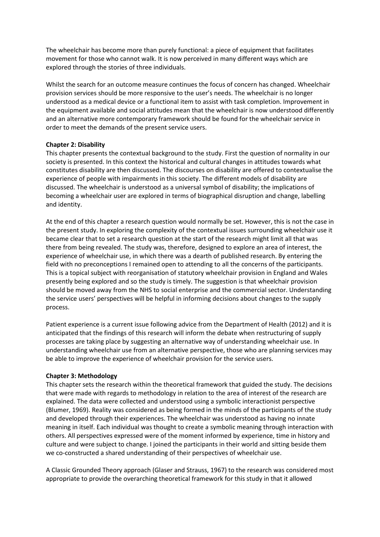The wheelchair has become more than purely functional: a piece of equipment that facilitates movement for those who cannot walk. It is now perceived in many different ways which are explored through the stories of three individuals.

Whilst the search for an outcome measure continues the focus of concern has changed. Wheelchair provision services should be more responsive to the user's needs. The wheelchair is no longer understood as a medical device or a functional item to assist with task completion. Improvement in the equipment available and social attitudes mean that the wheelchair is now understood differently and an alternative more contemporary framework should be found for the wheelchair service in order to meet the demands of the present service users.

## **Chapter 2: Disability**

This chapter presents the contextual background to the study. First the question of normality in our society is presented. In this context the historical and cultural changes in attitudes towards what constitutes disability are then discussed. The discourses on disability are offered to contextualise the experience of people with impairments in this society. The different models of disability are discussed. The wheelchair is understood as a universal symbol of disability; the implications of becoming a wheelchair user are explored in terms of biographical disruption and change, labelling and identity.

At the end of this chapter a research question would normally be set. However, this is not the case in the present study. In exploring the complexity of the contextual issues surrounding wheelchair use it became clear that to set a research question at the start of the research might limit all that was there from being revealed. The study was, therefore, designed to explore an area of interest, the experience of wheelchair use, in which there was a dearth of published research. By entering the field with no preconceptions I remained open to attending to all the concerns of the participants. This is a topical subject with reorganisation of statutory wheelchair provision in England and Wales presently being explored and so the study is timely. The suggestion is that wheelchair provision should be moved away from the NHS to social enterprise and the commercial sector. Understanding the service users' perspectives will be helpful in informing decisions about changes to the supply process.

Patient experience is a current issue following advice from the Department of Health (2012) and it is anticipated that the findings of this research will inform the debate when restructuring of supply processes are taking place by suggesting an alternative way of understanding wheelchair use. In understanding wheelchair use from an alternative perspective, those who are planning services may be able to improve the experience of wheelchair provision for the service users.

## **Chapter 3: Methodology**

This chapter sets the research within the theoretical framework that guided the study. The decisions that were made with regards to methodology in relation to the area of interest of the research are explained. The data were collected and understood using a symbolic interactionist perspective (Blumer, 1969). Reality was considered as being formed in the minds of the participants of the study and developed through their experiences. The wheelchair was understood as having no innate meaning in itself. Each individual was thought to create a symbolic meaning through interaction with others. All perspectives expressed were of the moment informed by experience, time in history and culture and were subject to change. I joined the participants in their world and sitting beside them we co-constructed a shared understanding of their perspectives of wheelchair use.

A Classic Grounded Theory approach (Glaser and Strauss, 1967) to the research was considered most appropriate to provide the overarching theoretical framework for this study in that it allowed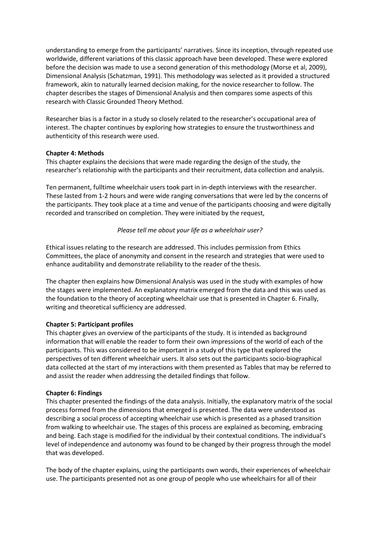understanding to emerge from the participants' narratives. Since its inception, through repeated use worldwide, different variations of this classic approach have been developed. These were explored before the decision was made to use a second generation of this methodology (Morse et al, 2009), Dimensional Analysis (Schatzman, 1991). This methodology was selected as it provided a structured framework, akin to naturally learned decision making, for the novice researcher to follow. The chapter describes the stages of Dimensional Analysis and then compares some aspects of this research with Classic Grounded Theory Method.

Researcher bias is a factor in a study so closely related to the researcher's occupational area of interest. The chapter continues by exploring how strategies to ensure the trustworthiness and authenticity of this research were used.

## **Chapter 4: Methods**

This chapter explains the decisions that were made regarding the design of the study, the researcher's relationship with the participants and their recruitment, data collection and analysis.

Ten permanent, fulltime wheelchair users took part in in-depth interviews with the researcher. These lasted from 1-2 hours and were wide ranging conversations that were led by the concerns of the participants. They took place at a time and venue of the participants choosing and were digitally recorded and transcribed on completion. They were initiated by the request,

## *Please tell me about your life as a wheelchair user?*

Ethical issues relating to the research are addressed. This includes permission from Ethics Committees, the place of anonymity and consent in the research and strategies that were used to enhance auditability and demonstrate reliability to the reader of the thesis.

The chapter then explains how Dimensional Analysis was used in the study with examples of how the stages were implemented. An explanatory matrix emerged from the data and this was used as the foundation to the theory of accepting wheelchair use that is presented in Chapter 6. Finally, writing and theoretical sufficiency are addressed.

## **Chapter 5: Participant profiles**

This chapter gives an overview of the participants of the study. It is intended as background information that will enable the reader to form their own impressions of the world of each of the participants. This was considered to be important in a study of this type that explored the perspectives of ten different wheelchair users. It also sets out the participants socio-biographical data collected at the start of my interactions with them presented as Tables that may be referred to and assist the reader when addressing the detailed findings that follow.

#### **Chapter 6: Findings**

This chapter presented the findings of the data analysis. Initially, the explanatory matrix of the social process formed from the dimensions that emerged is presented. The data were understood as describing a social process of accepting wheelchair use which is presented as a phased transition from walking to wheelchair use. The stages of this process are explained as becoming, embracing and being. Each stage is modified for the individual by their contextual conditions. The individual's level of independence and autonomy was found to be changed by their progress through the model that was developed.

The body of the chapter explains, using the participants own words, their experiences of wheelchair use. The participants presented not as one group of people who use wheelchairs for all of their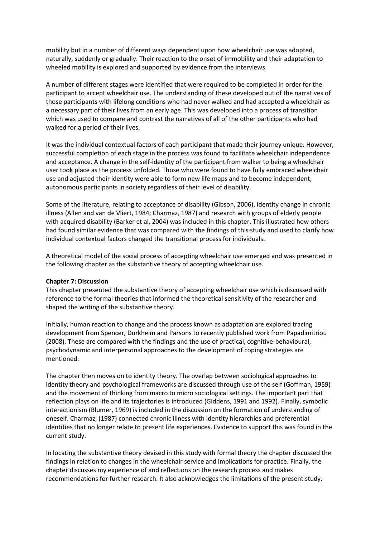mobility but in a number of different ways dependent upon how wheelchair use was adopted, naturally, suddenly or gradually. Their reaction to the onset of immobility and their adaptation to wheeled mobility is explored and supported by evidence from the interviews.

A number of different stages were identified that were required to be completed in order for the participant to accept wheelchair use. The understanding of these developed out of the narratives of those participants with lifelong conditions who had never walked and had accepted a wheelchair as a necessary part of their lives from an early age. This was developed into a process of transition which was used to compare and contrast the narratives of all of the other participants who had walked for a period of their lives.

It was the individual contextual factors of each participant that made their journey unique. However, successful completion of each stage in the process was found to facilitate wheelchair independence and acceptance. A change in the self-identity of the participant from walker to being a wheelchair user took place as the process unfolded. Those who were found to have fully embraced wheelchair use and adjusted their identity were able to form new life maps and to become independent, autonomous participants in society regardless of their level of disability.

Some of the literature, relating to acceptance of disability (Gibson, 2006), identity change in chronic illness (Allen and van de Vliert, 1984; Charmaz, 1987) and research with groups of elderly people with acquired disability (Barker et al, 2004) was included in this chapter. This illustrated how others had found similar evidence that was compared with the findings of this study and used to clarify how individual contextual factors changed the transitional process for individuals.

A theoretical model of the social process of accepting wheelchair use emerged and was presented in the following chapter as the substantive theory of accepting wheelchair use.

#### **Chapter 7: Discussion**

This chapter presented the substantive theory of accepting wheelchair use which is discussed with reference to the formal theories that informed the theoretical sensitivity of the researcher and shaped the writing of the substantive theory.

Initially, human reaction to change and the process known as adaptation are explored tracing development from Spencer, Durkheim and Parsons to recently published work from Papadimitriou (2008). These are compared with the findings and the use of practical, cognitive-behavioural, psychodynamic and interpersonal approaches to the development of coping strategies are mentioned.

The chapter then moves on to identity theory. The overlap between sociological approaches to identity theory and psychological frameworks are discussed through use of the self (Goffman, 1959) and the movement of thinking from macro to micro sociological settings. The important part that reflection plays on life and its trajectories is introduced (Giddens, 1991 and 1992). Finally, symbolic interactionism (Blumer, 1969) is included in the discussion on the formation of understanding of oneself. Charmaz, (1987) connected chronic illness with identity hierarchies and preferential identities that no longer relate to present life experiences. Evidence to support this was found in the current study.

In locating the substantive theory devised in this study with formal theory the chapter discussed the findings in relation to changes in the wheelchair service and implications for practice. Finally, the chapter discusses my experience of and reflections on the research process and makes recommendations for further research. It also acknowledges the limitations of the present study.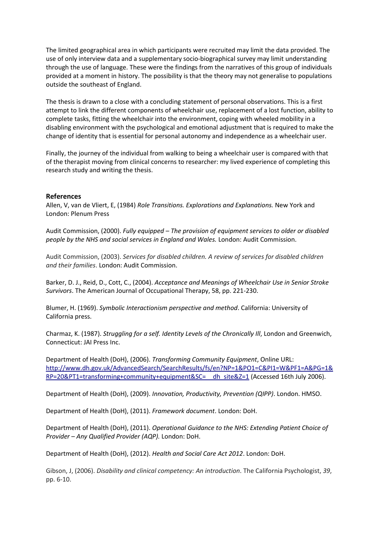The limited geographical area in which participants were recruited may limit the data provided. The use of only interview data and a supplementary socio-biographical survey may limit understanding through the use of language. These were the findings from the narratives of this group of individuals provided at a moment in history. The possibility is that the theory may not generalise to populations outside the southeast of England.

The thesis is drawn to a close with a concluding statement of personal observations. This is a first attempt to link the different components of wheelchair use, replacement of a lost function, ability to complete tasks, fitting the wheelchair into the environment, coping with wheeled mobility in a disabling environment with the psychological and emotional adjustment that is required to make the change of identity that is essential for personal autonomy and independence as a wheelchair user.

Finally, the journey of the individual from walking to being a wheelchair user is compared with that of the therapist moving from clinical concerns to researcher: my lived experience of completing this research study and writing the thesis.

#### **References**

Allen, V, van de Vliert, E, (1984) *Role Transitions. Explorations and Explanations.* New York and London: Plenum Press

Audit Commission, (2000). *Fully equipped – The provision of equipment services to older or disabled people by the NHS and social services in England and Wales.* London: Audit Commission.

Audit Commission, (2003). *Services for disabled children. A review of services for disabled children and their families*. London: Audit Commission.

Barker, D. J., Reid, D., Cott, C., (2004). *Acceptance and Meanings of Wheelchair Use in Senior Stroke Survivors*. The American Journal of Occupational Therapy, 58, pp. 221-230.

Blumer, H. (1969). *Symbolic Interactionism perspective and method*. California: University of California press.

Charmaz, K. (1987). *Struggling for a self. Identity Levels of the Chronically Ill*, London and Greenwich, Connecticut: JAI Press Inc.

Department of Health (DoH), (2006). *Transforming Community Equipment*, Online URL: [http://www.dh.gov.uk/AdvancedSearch/SearchResults/fs/en?NP=1&PO1=C&PI1=W&PF1=A&PG=1&](http://www.dh.gov.uk/AdvancedSearch/SearchResults/fs/en?NP=1&PO1=C&PI1=W&PF1=A&PG=1&RP=20&PT1=transforming+community+equipment&SC=__dh_site&Z=1) RP=20&PT1=transforming+community+equipment&SC= dh\_site&Z=1 (Accessed 16th July 2006).

Department of Health (DoH), (2009). *Innovation, Productivity, Prevention (QIPP)*. London. HMSO.

Department of Health (DoH), (2011). *Framework document*. London: DoH.

Department of Health (DoH), (2011). *Operational Guidance to the NHS: Extending Patient Choice of Provider – Any Qualified Provider (AQP).* London: DoH.

Department of Health (DoH), (2012). *Health and Social Care Act 2012*. London: DoH.

Gibson, J, (2006). *Disability and clinical competency: An introduction*. The California Psychologist, *39*, pp. 6-10.